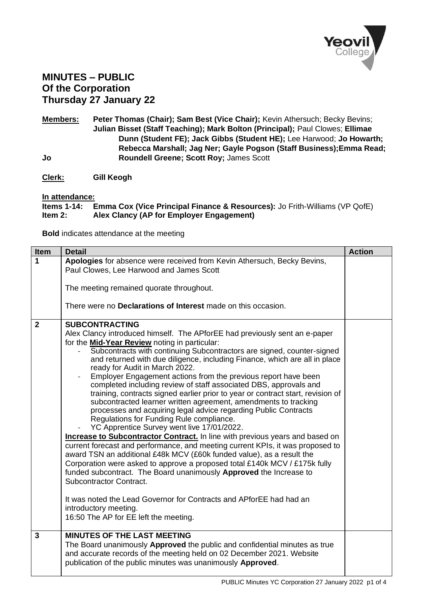

## **MINUTES – PUBLIC Of the Corporation Thursday 27 January 22**

**Members: Peter Thomas (Chair); Sam Best (Vice Chair);** Kevin Athersuch; Becky Bevins; **Julian Bisset (Staff Teaching); Mark Bolton (Principal);** Paul Clowes; **Ellimae Dunn (Student FE); Jack Gibbs (Student HE);** Lee Harwood; **Jo Howarth; Rebecca Marshall; Jag Ner; Gayle Pogson (Staff Business);Emma Read; Jo Roundell Greene; Scott Roy;** James Scott

**Clerk: Gill Keogh**

**In attendance:**

**Emma Cox (Vice Principal Finance & Resources):** Jo Frith-Williams (VP QofE) **Item 2: Alex Clancy (AP for Employer Engagement)**

**Bold** indicates attendance at the meeting

| <b>Item</b>    | <b>Detail</b>                                                                                                           | <b>Action</b> |
|----------------|-------------------------------------------------------------------------------------------------------------------------|---------------|
| 1              | Apologies for absence were received from Kevin Athersuch, Becky Bevins,<br>Paul Clowes, Lee Harwood and James Scott     |               |
|                |                                                                                                                         |               |
|                | The meeting remained quorate throughout.                                                                                |               |
|                | There were no <b>Declarations of Interest</b> made on this occasion.                                                    |               |
| $\overline{2}$ | <b>SUBCONTRACTING</b>                                                                                                   |               |
|                | Alex Clancy introduced himself. The APforEE had previously sent an e-paper                                              |               |
|                | for the Mid-Year Review noting in particular:<br>Subcontracts with continuing Subcontractors are signed, counter-signed |               |
|                | and returned with due diligence, including Finance, which are all in place                                              |               |
|                | ready for Audit in March 2022.<br>Employer Engagement actions from the previous report have been                        |               |
|                | completed including review of staff associated DBS, approvals and                                                       |               |
|                | training, contracts signed earlier prior to year or contract start, revision of                                         |               |
|                | subcontracted learner written agreement, amendments to tracking                                                         |               |
|                | processes and acquiring legal advice regarding Public Contracts                                                         |               |
|                | Regulations for Funding Rule compliance.<br>YC Apprentice Survey went live 17/01/2022.                                  |               |
|                | <b>Increase to Subcontractor Contract.</b> In line with previous years and based on                                     |               |
|                | current forecast and performance, and meeting current KPIs, it was proposed to                                          |               |
|                | award TSN an additional £48k MCV (£60k funded value), as a result the                                                   |               |
|                | Corporation were asked to approve a proposed total £140k MCV / £175k fully                                              |               |
|                | funded subcontract. The Board unanimously Approved the Increase to<br>Subcontractor Contract.                           |               |
|                |                                                                                                                         |               |
|                | It was noted the Lead Governor for Contracts and APforEE had had an                                                     |               |
|                | introductory meeting.                                                                                                   |               |
|                | 16:50 The AP for EE left the meeting.                                                                                   |               |
| 3              | <b>MINUTES OF THE LAST MEETING</b>                                                                                      |               |
|                | The Board unanimously Approved the public and confidential minutes as true                                              |               |
|                | and accurate records of the meeting held on 02 December 2021. Website                                                   |               |
|                | publication of the public minutes was unanimously Approved.                                                             |               |
|                |                                                                                                                         |               |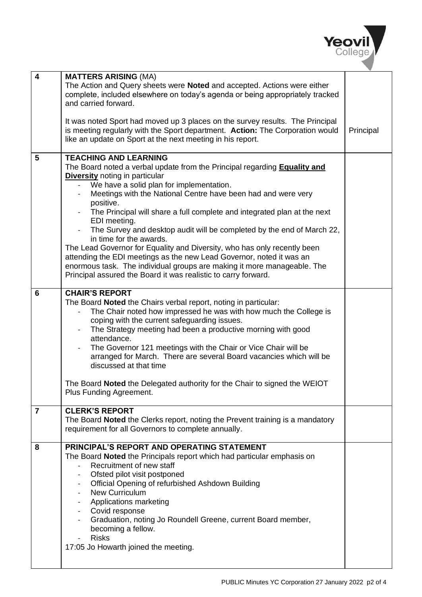

| $\overline{\mathbf{4}}$ | <b>MATTERS ARISING (MA)</b>                                                                                                                                                       |           |
|-------------------------|-----------------------------------------------------------------------------------------------------------------------------------------------------------------------------------|-----------|
|                         | The Action and Query sheets were Noted and accepted. Actions were either<br>complete, included elsewhere on today's agenda or being appropriately tracked<br>and carried forward. |           |
|                         |                                                                                                                                                                                   |           |
|                         | It was noted Sport had moved up 3 places on the survey results. The Principal<br>is meeting regularly with the Sport department. Action: The Corporation would                    | Principal |
|                         | like an update on Sport at the next meeting in his report.                                                                                                                        |           |
| 5                       | <b>TEACHING AND LEARNING</b>                                                                                                                                                      |           |
|                         | The Board noted a verbal update from the Principal regarding <b>Equality and</b>                                                                                                  |           |
|                         | <b>Diversity</b> noting in particular                                                                                                                                             |           |
|                         | We have a solid plan for implementation.<br>Meetings with the National Centre have been had and were very                                                                         |           |
|                         | positive.                                                                                                                                                                         |           |
|                         | The Principal will share a full complete and integrated plan at the next<br>EDI meeting.                                                                                          |           |
|                         | The Survey and desktop audit will be completed by the end of March 22,                                                                                                            |           |
|                         | in time for the awards.                                                                                                                                                           |           |
|                         | The Lead Governor for Equality and Diversity, who has only recently been                                                                                                          |           |
|                         | attending the EDI meetings as the new Lead Governor, noted it was an<br>enormous task. The individual groups are making it more manageable. The                                   |           |
|                         | Principal assured the Board it was realistic to carry forward.                                                                                                                    |           |
|                         |                                                                                                                                                                                   |           |
| 6                       | <b>CHAIR'S REPORT</b>                                                                                                                                                             |           |
|                         | The Board Noted the Chairs verbal report, noting in particular:<br>The Chair noted how impressed he was with how much the College is                                              |           |
|                         | coping with the current safeguarding issues.                                                                                                                                      |           |
|                         | The Strategy meeting had been a productive morning with good                                                                                                                      |           |
|                         | attendance.                                                                                                                                                                       |           |
|                         | The Governor 121 meetings with the Chair or Vice Chair will be<br>arranged for March. There are several Board vacancies which will be                                             |           |
|                         | discussed at that time                                                                                                                                                            |           |
|                         | The Board Noted the Delegated authority for the Chair to signed the WEIOT                                                                                                         |           |
|                         | Plus Funding Agreement.                                                                                                                                                           |           |
|                         |                                                                                                                                                                                   |           |
| $\overline{7}$          | <b>CLERK'S REPORT</b><br>The Board Noted the Clerks report, noting the Prevent training is a mandatory                                                                            |           |
|                         | requirement for all Governors to complete annually.                                                                                                                               |           |
|                         |                                                                                                                                                                                   |           |
| 8                       | <b>PRINCIPAL'S REPORT AND OPERATING STATEMENT</b>                                                                                                                                 |           |
|                         | The Board Noted the Principals report which had particular emphasis on<br>Recruitment of new staff                                                                                |           |
|                         | Ofsted pilot visit postponed                                                                                                                                                      |           |
|                         | Official Opening of refurbished Ashdown Building                                                                                                                                  |           |
|                         | <b>New Curriculum</b>                                                                                                                                                             |           |
|                         | Applications marketing<br>Covid response<br>$\overline{\phantom{a}}$                                                                                                              |           |
|                         | Graduation, noting Jo Roundell Greene, current Board member,<br>$\overline{\phantom{a}}$                                                                                          |           |
|                         | becoming a fellow.                                                                                                                                                                |           |
|                         | <b>Risks</b>                                                                                                                                                                      |           |
|                         | 17:05 Jo Howarth joined the meeting.                                                                                                                                              |           |
|                         |                                                                                                                                                                                   |           |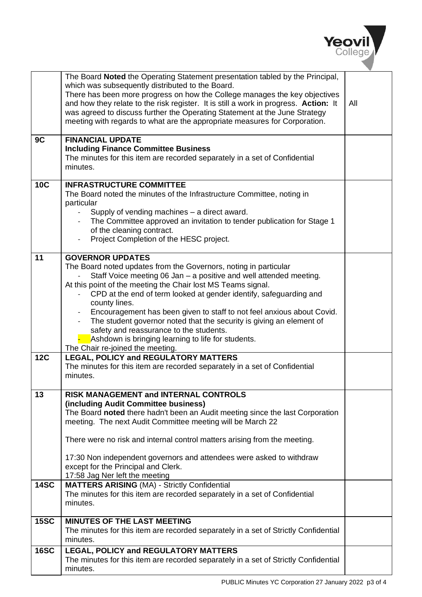

|             | The Board Noted the Operating Statement presentation tabled by the Principal,<br>which was subsequently distributed to the Board.<br>There has been more progress on how the College manages the key objectives<br>and how they relate to the risk register. It is still a work in progress. Action: It<br>was agreed to discuss further the Operating Statement at the June Strategy<br>meeting with regards to what are the appropriate measures for Corporation.                                                                                                                                             | All |
|-------------|-----------------------------------------------------------------------------------------------------------------------------------------------------------------------------------------------------------------------------------------------------------------------------------------------------------------------------------------------------------------------------------------------------------------------------------------------------------------------------------------------------------------------------------------------------------------------------------------------------------------|-----|
| 9C          | <b>FINANCIAL UPDATE</b><br><b>Including Finance Committee Business</b><br>The minutes for this item are recorded separately in a set of Confidential<br>minutes.                                                                                                                                                                                                                                                                                                                                                                                                                                                |     |
| <b>10C</b>  | <b>INFRASTRUCTURE COMMITTEE</b><br>The Board noted the minutes of the Infrastructure Committee, noting in<br>particular<br>Supply of vending machines – a direct award.<br>$\blacksquare$<br>The Committee approved an invitation to tender publication for Stage 1<br>of the cleaning contract.<br>Project Completion of the HESC project.                                                                                                                                                                                                                                                                     |     |
| 11          | <b>GOVERNOR UPDATES</b><br>The Board noted updates from the Governors, noting in particular<br>Staff Voice meeting 06 Jan - a positive and well attended meeting.<br>At this point of the meeting the Chair lost MS Teams signal.<br>CPD at the end of term looked at gender identify, safeguarding and<br>county lines.<br>Encouragement has been given to staff to not feel anxious about Covid.<br>The student governor noted that the security is giving an element of<br>safety and reassurance to the students.<br>Ashdown is bringing learning to life for students.<br>The Chair re-joined the meeting. |     |
| <b>12C</b>  | <b>LEGAL, POLICY and REGULATORY MATTERS</b><br>The minutes for this item are recorded separately in a set of Confidential<br>minutes.                                                                                                                                                                                                                                                                                                                                                                                                                                                                           |     |
| 13          | RISK MANAGEMENT and INTERNAL CONTROLS<br>(including Audit Committee business)<br>The Board noted there hadn't been an Audit meeting since the last Corporation<br>meeting. The next Audit Committee meeting will be March 22<br>There were no risk and internal control matters arising from the meeting.<br>17:30 Non independent governors and attendees were asked to withdraw<br>except for the Principal and Clerk.<br>17:58 Jag Ner left the meeting                                                                                                                                                      |     |
| <b>14SC</b> | <b>MATTERS ARISING (MA) - Strictly Confidential</b><br>The minutes for this item are recorded separately in a set of Confidential<br>minutes.                                                                                                                                                                                                                                                                                                                                                                                                                                                                   |     |
| <b>15SC</b> | <b>MINUTES OF THE LAST MEETING</b><br>The minutes for this item are recorded separately in a set of Strictly Confidential<br>minutes.                                                                                                                                                                                                                                                                                                                                                                                                                                                                           |     |
| <b>16SC</b> | LEGAL, POLICY and REGULATORY MATTERS<br>The minutes for this item are recorded separately in a set of Strictly Confidential<br>minutes.                                                                                                                                                                                                                                                                                                                                                                                                                                                                         |     |